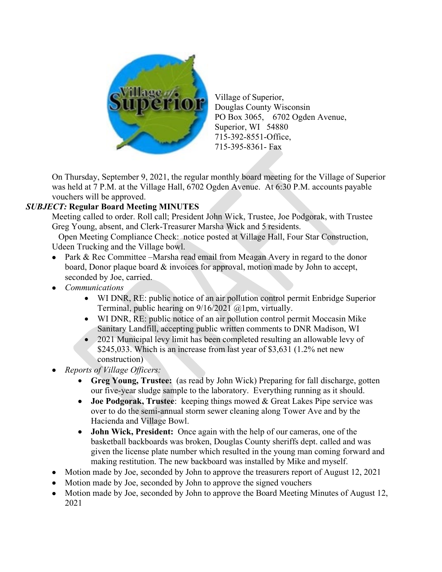

Village of Superior, Douglas County Wisconsin PO Box 3065, 6702 Ogden Avenue, Superior, WI 54880 715-392-8551-Office, 715-395-8361- Fax

On Thursday, September 9, 2021, the regular monthly board meeting for the Village of Superior was held at 7 P.M. at the Village Hall, 6702 Ogden Avenue. At 6:30 P.M. accounts payable vouchers will be approved.

## *SUBJECT:* **Regular Board Meeting MINUTES**

Meeting called to order. Roll call; President John Wick, Trustee, Joe Podgorak, with Trustee Greg Young, absent, and Clerk-Treasurer Marsha Wick and 5 residents.

 Open Meeting Compliance Check: notice posted at Village Hall, Four Star Construction, Udeen Trucking and the Village bowl.

- Park & Rec Committee Marsha read email from Meagan Avery in regard to the donor board, Donor plaque board & invoices for approval, motion made by John to accept, seconded by Joe, carried.
- *Communications*
	- WI DNR, RE: public notice of an air pollution control permit Enbridge Superior Terminal, public hearing on 9/16/2021 @1pm, virtually.
	- WI DNR, RE: public notice of an air pollution control permit Moccasin Mike Sanitary Landfill, accepting public written comments to DNR Madison, WI
	- 2021 Municipal levy limit has been completed resulting an allowable levy of \$245,033. Which is an increase from last year of \$3,631 (1.2% net new construction)
- *Reports of Village Officers:* 
	- **Greg Young, Trustee:** (as read by John Wick) Preparing for fall discharge, gotten our five-year sludge sample to the laboratory. Everything running as it should.
	- **Joe Podgorak, Trustee**: keeping things mowed & Great Lakes Pipe service was over to do the semi-annual storm sewer cleaning along Tower Ave and by the Hacienda and Village Bowl.
	- **John Wick, President:** Once again with the help of our cameras, one of the basketball backboards was broken, Douglas County sheriffs dept. called and was given the license plate number which resulted in the young man coming forward and making restitution. The new backboard was installed by Mike and myself.
- Motion made by Joe, seconded by John to approve the treasurers report of August 12, 2021
- Motion made by Joe, seconded by John to approve the signed vouchers
- Motion made by Joe, seconded by John to approve the Board Meeting Minutes of August 12, 2021